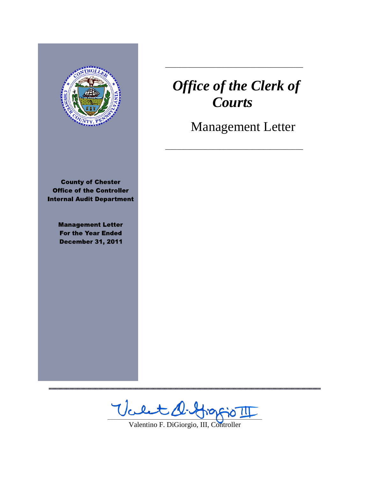

**County of Chester Office of the Controller Internal Audit Department** 

> **Management Letter For the Year Ended December 31, 2011**

# *Office of the Clerk of Courts*

\_\_\_\_\_\_\_\_\_\_\_\_\_\_\_\_\_\_\_\_\_\_\_\_\_\_\_\_\_\_\_\_\_\_\_\_\_\_

\_\_\_\_\_\_\_\_\_\_\_\_\_\_\_\_\_\_\_\_\_\_\_\_\_\_\_\_\_\_\_\_\_\_\_\_\_\_

Management Letter

 $\forall$ cent d.f

Valentino F. DiGiorgio, III, Controller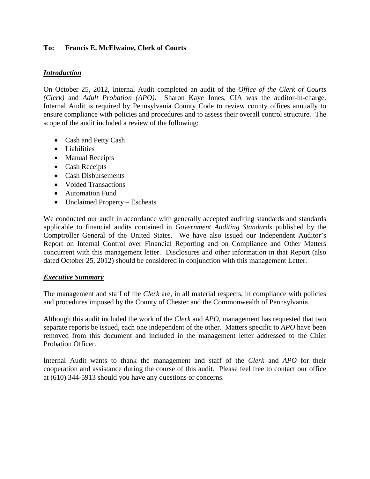# **To: Francis E. McElwaine, Clerk of Courts**

## *Introduction*

On October 25, 2012, Internal Audit completed an audit of the *Office of the Clerk of Courts (Clerk)* and *Adult Probation (APO).* Sharon Kaye Jones, CIA was the auditor-in-charge. Internal Audit is required by Pennsylvania County Code to review county offices annually to ensure compliance with policies and procedures and to assess their overall control structure. The scope of the audit included a review of the following:

- Cash and Petty Cash
- Liabilities
- Manual Receipts
- Cash Receipts
- Cash Disbursements
- Voided Transactions
- Automation Fund
- Unclaimed Property Escheats

We conducted our audit in accordance with generally accepted auditing standards and standards applicable to financial audits contained in *Government Auditing Standards* published by the Comptroller General of the United States. We have also issued our Independent Auditor's Report on Internal Control over Financial Reporting and on Compliance and Other Matters concurrent with this management letter. Disclosures and other information in that Report (also dated October 25, 2012) should be considered in conjunction with this management Letter.

### *Executive Summary*

The management and staff of the *Clerk* are, in all material respects, in compliance with policies and procedures imposed by the County of Chester and the Commonwealth of Pennsylvania.

Although this audit included the work of the *Clerk* and *APO,* management has requested that two separate reports be issued, each one independent of the other. Matters specific to *APO* have been removed from this document and included in the management letter addressed to the Chief Probation Officer.

Internal Audit wants to thank the management and staff of the *Clerk* and *APO* for their cooperation and assistance during the course of this audit. Please feel free to contact our office at (610) 344-5913 should you have any questions or concerns.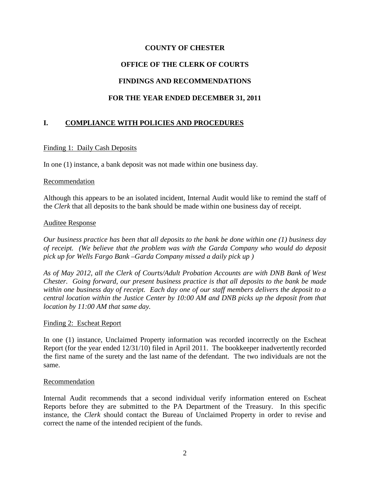# **COUNTY OF CHESTER OFFICE OF THE CLERK OF COURTS FINDINGS AND RECOMMENDATIONS FOR THE YEAR ENDED DECEMBER 31, 2011**

# **I. COMPLIANCE WITH POLICIES AND PROCEDURES**

### Finding 1: Daily Cash Deposits

In one (1) instance, a bank deposit was not made within one business day.

#### Recommendation

Although this appears to be an isolated incident, Internal Audit would like to remind the staff of the *Clerk* that all deposits to the bank should be made within one business day of receipt.

#### Auditee Response

*Our business practice has been that all deposits to the bank be done within one (1) business day of receipt. (We believe that the problem was with the Garda Company who would do deposit pick up for Wells Fargo Bank –Garda Company missed a daily pick up )* 

*As of May 2012, all the Clerk of Courts/Adult Probation Accounts are with DNB Bank of West Chester. Going forward, our present business practice is that all deposits to the bank be made within one business day of receipt. Each day one of our staff members delivers the deposit to a central location within the Justice Center by 10:00 AM and DNB picks up the deposit from that location by 11:00 AM that same day.*

#### Finding 2: Escheat Report

In one (1) instance, Unclaimed Property information was recorded incorrectly on the Escheat Report (for the year ended 12/31/10) filed in April 2011. The bookkeeper inadvertently recorded the first name of the surety and the last name of the defendant. The two individuals are not the same.

#### Recommendation

Internal Audit recommends that a second individual verify information entered on Escheat Reports before they are submitted to the PA Department of the Treasury. In this specific instance, the *Clerk* should contact the Bureau of Unclaimed Property in order to revise and correct the name of the intended recipient of the funds.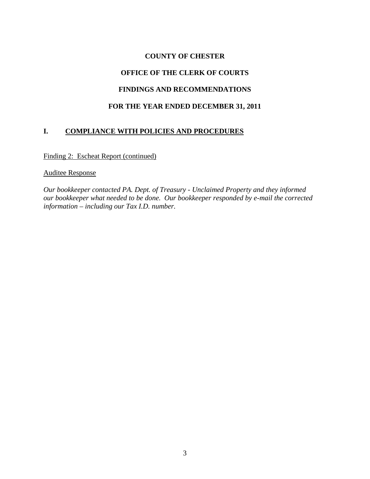# **COUNTY OF CHESTER**

# **OFFICE OF THE CLERK OF COURTS**

# **FINDINGS AND RECOMMENDATIONS**

# **FOR THE YEAR ENDED DECEMBER 31, 2011**

# **I. COMPLIANCE WITH POLICIES AND PROCEDURES**

Finding 2: Escheat Report (continued)

#### Auditee Response

*Our bookkeeper contacted PA. Dept. of Treasury - Unclaimed Property and they informed our bookkeeper what needed to be done. Our bookkeeper responded by e-mail the corrected information – including our Tax I.D. number.*